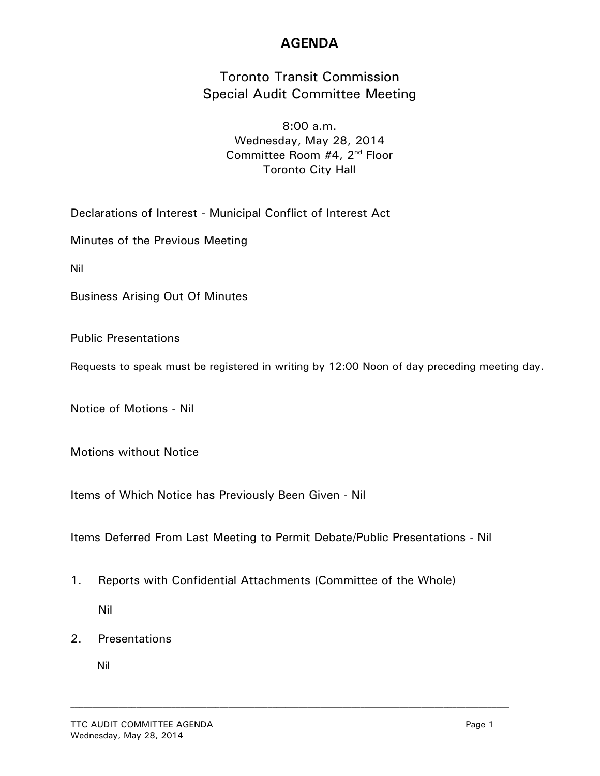## **AGENDA**

## Toronto Transit Commission Special Audit Committee Meeting

8:00 a.m. Wednesday, May 28, 2014 Committee Room #4, 2nd Floor Toronto City Hall

Declarations of Interest - Municipal Conflict of Interest Act

Minutes of the Previous Meeting

Nil

Business Arising Out Of Minutes

Public Presentations

Requests to speak must be registered in writing by 12:00 Noon of day preceding meeting day.

Notice of Motions - Nil

Motions without Notice

Items of Which Notice has Previously Been Given - Nil

Items Deferred From Last Meeting to Permit Debate/Public Presentations - Nil

- 1. Reports with Confidential Attachments (Committee of the Whole) Nil
- 2. Presentations

Nil